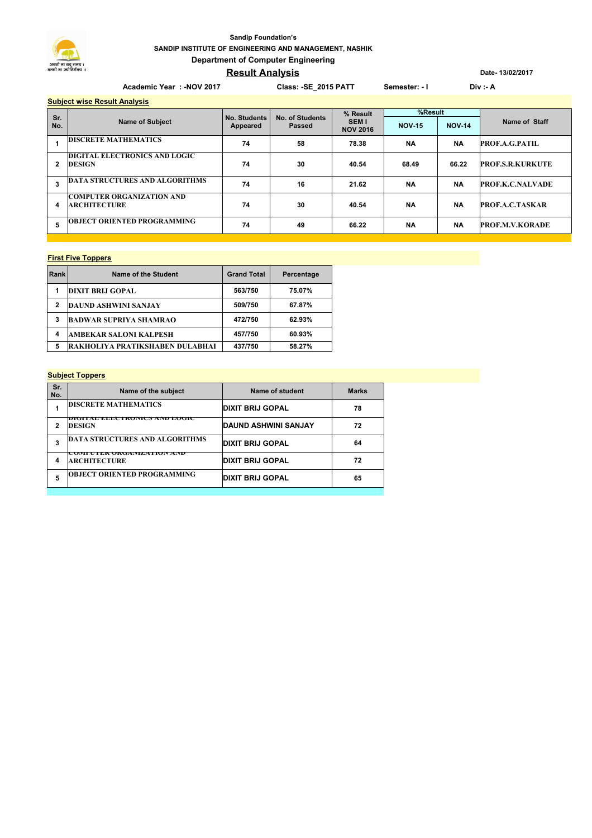

## **SANDIP INSTITUTE OF ENGINEERING AND MANAGEMENT, NASHIK Department of Computer Engineering Sandip Foundation's**

# **Result Analysis**

**Date- 13/02/2017**

| Academic Year: - NOV 2017 |                                                         |                          | Class: - SE 2015 PATT     |                                            | Semester: - I |               | Div: A                  |  |
|---------------------------|---------------------------------------------------------|--------------------------|---------------------------|--------------------------------------------|---------------|---------------|-------------------------|--|
|                           | <b>Subject wise Result Analysis</b>                     |                          |                           |                                            |               |               |                         |  |
| Sr.                       | <b>Name of Subject</b>                                  | No. Students<br>Appeared | No. of Students<br>Passed | % Result<br><b>SEMI</b><br><b>NOV 2016</b> | %Result       |               |                         |  |
| No.                       |                                                         |                          |                           |                                            | <b>NOV-15</b> | <b>NOV-14</b> | Name of Staff           |  |
|                           | <b>DISCRETE MATHEMATICS</b>                             | 74                       | 58                        | 78.38                                      | <b>NA</b>     | <b>NA</b>     | <b>PROF.A.G.PATIL</b>   |  |
| 2                         | <b>DIGITAL ELECTRONICS AND LOGIC</b><br>DESIGN          | 74                       | 30                        | 40.54                                      | 68.49         | 66.22         | <b>PROF.S.R.KURKUTE</b> |  |
| 3                         | <b>DATA STRUCTURES AND ALGORITHMS</b>                   | 74                       | 16                        | 21.62                                      | <b>NA</b>     | <b>NA</b>     | <b>PROF.K.C.NALVADE</b> |  |
| 4                         | <b>COMPUTER ORGANIZATION AND</b><br><b>ARCHITECTURE</b> | 74                       | 30                        | 40.54                                      | <b>NA</b>     | <b>NA</b>     | <b>PROF.A.C.TASKAR</b>  |  |

**5 74 49 66.22 NA NA PROF.M.V.KORADE OBJECT ORIENTED PROGRAMMING** 

#### **First Five Toppers**

| Rank | Name of the Student             | <b>Grand Total</b> | Percentage |
|------|---------------------------------|--------------------|------------|
| 1    | <b>DIXIT BRIJ GOPAL</b>         | 563/750            | 75.07%     |
| 2    | <b>DAUND ASHWINI SANJAY</b>     | 509/750            | 67.87%     |
| 3    | <b>BADWAR SUPRIYA SHAMRAO</b>   | 472/750            | 62.93%     |
| 4    | <b>AMBEKAR SALONI KALPESH</b>   | 457/750            | 60.93%     |
| 5    | RAKHOLIYA PRATIKSHABEN DULABHAI | 437/750            | 58.27%     |

#### **Subject Toppers**

| Sr.<br>No. | Name of the subject                              | Name of student         | <b>Marks</b> |
|------------|--------------------------------------------------|-------------------------|--------------|
|            | <b>DISCRETE MATHEMATICS</b>                      | <b>DIXIT BRIJ GOPAL</b> | 78           |
|            | DIGITAL THE REPORT OF AND LOGIC<br><b>DESIGN</b> | DAUND ASHWINI SANJAY    | 72           |
| 3          | <b>DATA STRUCTURES AND ALGORITHMS</b>            | <b>DIXIT BRIJ GOPAL</b> | 64           |
| 4          | COMPUTER ORGANIZATION AND<br><b>ARCHITECTURE</b> | <b>DIXIT BRIJ GOPAL</b> | 72           |
| 5          | <b>OBJECT ORIENTED PROGRAMMING</b>               | <b>DIXIT BRIJ GOPAL</b> | 65           |